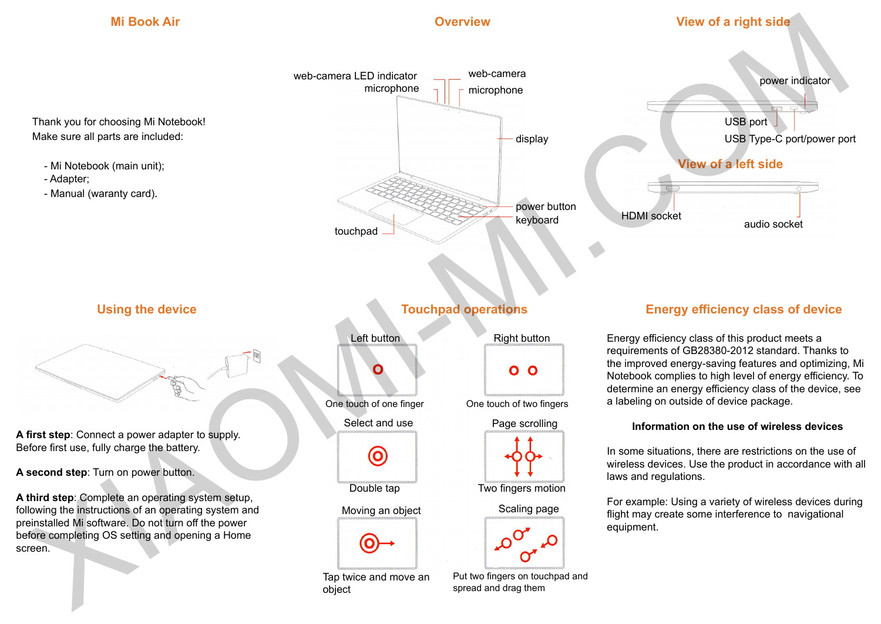## **Mi Book Air**

### **Overview**

### **View of a right side**



## **Using the device**

**A first step**: Connect a power adapter to supply. Before first use, fully charge the battery.

**A second step**: Turn on power button.

**A third step**: Complete an operating system setup, following the instructions of an operating system and preinstalled Mi software. Do not turn off the power before completing OS setting and opening a Home screen.

### **Touchpad operations**





Tap twice and move an object



One touch of one finger One touch of two fingers



Double tap Two fingers motion





#### Put two fingers on touchpad and spread and drag them

### **Energy efficiency class of device**

Energy efficiency class of this product meets a requirements of GB28380-2012 standard. Thanks to the improved energy-saving features and optimizing, Mi Notebook complies to high level of energy efficiency. To determine an energy efficiency class of the device, see a labeling on outside of device package.

### **Information on the use of wireless devices**

In some situations, there are restrictions on the use of wireless devices. Use the product in accordance with all laws and regulations.

For example: Using a variety of wireless devices during flight may create some interference to navigational equipment.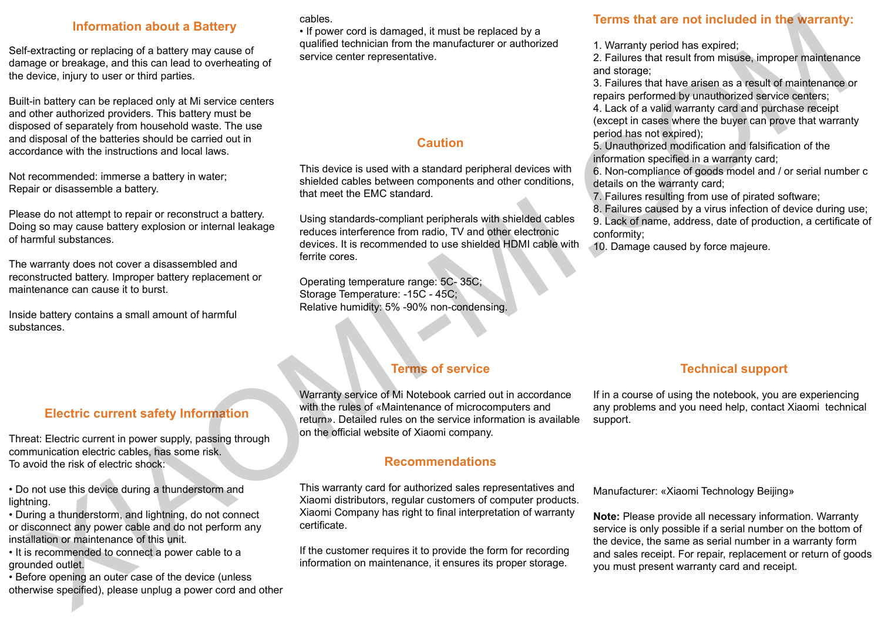### **Information about a Battery**

Self-extracting or replacing of a battery may cause of damage or breakage, and this can lead to overheating of the device, injury to user or third parties.

Built-in battery can be replaced only at Mi service centers and other authorized providers. This battery must be disposed of separately from household waste. The use and disposal of the batteries should be carried out in accordance with the instructions and local laws.

Not recommended: immerse a battery in water; Repair or disassemble a battery.

Please do not attempt to repair or reconstruct a battery. Doing so may cause battery explosion or internal leakage of harmful substances.

The warranty does not cover a disassembled and reconstructed battery. Improper battery replacement or maintenance can cause it to burst.

Inside battery contains a small amount of harmful substances.

#### cables.

• If power cord is damaged, it must be replaced by a qualified technician from the manufacturer or authorized service center representative.

### **Caution**

This device is used with a standard peripheral devices with shielded cables between components and other conditions, that meet the EMC standard.

Using standards-compliant peripherals with shielded cables reduces interference from radio, TV and other electronic devices. It is recommended to use shielded HDMI cable with ferrite cores.

Operating temperature range: 5C- 35C; Storage Temperature: -15C - 45C; Relative humidity: 5% -90% non-condensing.

## **Terms that are not included in the warranty:**

1. Warranty period has expired;

2. Failures that result from misuse, improper maintenance and storage;

3. Failures that have arisen as a result of maintenance or repairs performed by unauthorized service centers;

4. Lack of a valid warranty card and purchase receipt (except in cases where the buyer can prove that warranty period has not expired);

5. Unauthorized modification and falsification of the information specified in a warranty card;

6. Non-compliance of goods model and / or serial number c details on the warranty card;

7. Failures resulting from use of pirated software;

8. Failures caused by a virus infection of device during use;

9. Lack of name, address, date of production, a certificate of conformity;

10. Damage caused by force majeure.

### **Electric current safety Information**

Threat: Electric current in power supply, passing through communication electric cables, has some risk. To avoid the risk of electric shock:

• Do not use this device during a thunderstorm and lightning.

• During a thunderstorm, and lightning, do not connect or disconnect any power cable and do not perform any installation or maintenance of this unit.

• It is recommended to connect a power cable to a grounded outlet.

• Before opening an outer case of the device (unless otherwise specified), please unplug a power cord and other

# **Terms of service**

Warranty service of Mi Notebook carried out in accordance with the rules of «Maintenance of microcomputers and return». Detailed rules on the service information is available on the official website of Xiaomi company.

### **Recommendations**

This warranty card for authorized sales representatives and Xiaomi distributors, regular customers of computer products. Xiaomi Company has right to final interpretation of warranty certificate.

If the customer requires it to provide the form for recording information on maintenance, it ensures its proper storage.

### **Technical support**

If in a course of using the notebook, you are experiencing any problems and you need help, contact Xiaomi technical support.

Manufacturer: «Xiaomi Technology Beijing»

**Note:** Please provide all necessary information. Warranty service is only possible if a serial number on the bottom of the device, the same as serial number in a warranty form and sales receipt. For repair, replacement or return of goods you must present warranty card and receipt. **Example and the student in the student in the student in the student in the student in the student in the student in the student in the student in the student in the student in the student in the student in the student**